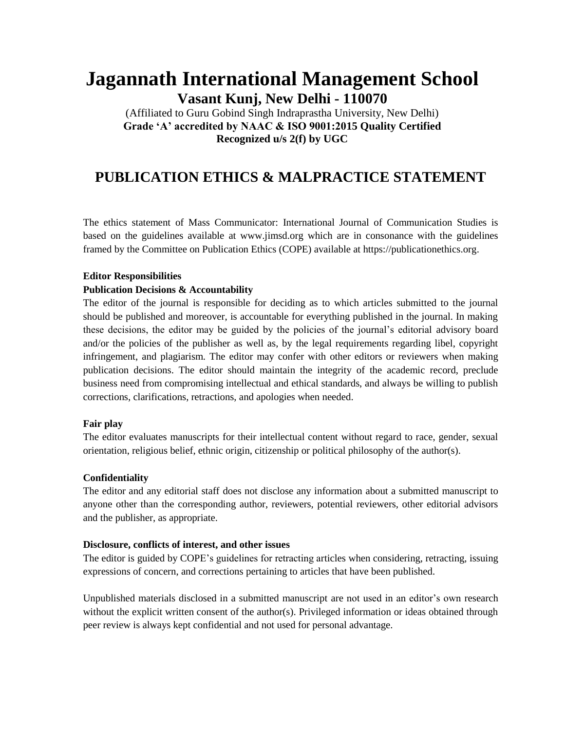# **Jagannath International Management School Vasant Kunj, New Delhi - 110070**

(Affiliated to Guru Gobind Singh Indraprastha University, New Delhi) **Grade 'A' accredited by NAAC & ISO 9001:2015 Quality Certified Recognized u/s 2(f) by UGC**

# **PUBLICATION ETHICS & MALPRACTICE STATEMENT**

The ethics statement of Mass Communicator: International Journal of Communication Studies is based on the guidelines available at www.jimsd.org which are in consonance with the guidelines framed by the Committee on Publication Ethics (COPE) available at https://publicationethics.org.

#### **Editor Responsibilities**

# **Publication Decisions & Accountability**

The editor of the journal is responsible for deciding as to which articles submitted to the journal should be published and moreover, is accountable for everything published in the journal. In making these decisions, the editor may be guided by the policies of the journal's editorial advisory board and/or the policies of the publisher as well as, by the legal requirements regarding libel, copyright infringement, and plagiarism. The editor may confer with other editors or reviewers when making publication decisions. The editor should maintain the integrity of the academic record, preclude business need from compromising intellectual and ethical standards, and always be willing to publish corrections, clarifications, retractions, and apologies when needed.

#### **Fair play**

The editor evaluates manuscripts for their intellectual content without regard to race, gender, sexual orientation, religious belief, ethnic origin, citizenship or political philosophy of the author(s).

#### **Confidentiality**

The editor and any editorial staff does not disclose any information about a submitted manuscript to anyone other than the corresponding author, reviewers, potential reviewers, other editorial advisors and the publisher, as appropriate.

#### **Disclosure, conflicts of interest, and other issues**

The editor is guided by COPE's guidelines for retracting articles when considering, retracting, issuing expressions of concern, and corrections pertaining to articles that have been published.

Unpublished materials disclosed in a submitted manuscript are not used in an editor's own research without the explicit written consent of the author(s). Privileged information or ideas obtained through peer review is always kept confidential and not used for personal advantage.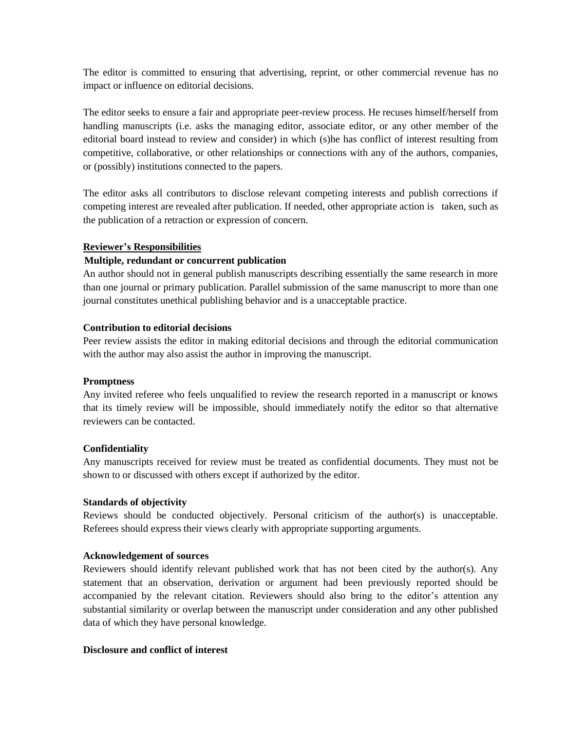The editor is committed to ensuring that advertising, reprint, or other commercial revenue has no impact or influence on editorial decisions.

The editor seeks to ensure a fair and appropriate peer-review process. He recuses himself/herself from handling manuscripts (i.e. asks the managing editor, associate editor, or any other member of the editorial board instead to review and consider) in which (s)he has conflict of interest resulting from competitive, collaborative, or other relationships or connections with any of the authors, companies, or (possibly) institutions connected to the papers.

The editor asks all contributors to disclose relevant competing interests and publish corrections if competing interest are revealed after publication. If needed, other appropriate action is taken, such as the publication of a retraction or expression of concern.

#### **Reviewer's Responsibilities**

# **Multiple, redundant or concurrent publication**

An author should not in general publish manuscripts describing essentially the same research in more than one journal or primary publication. Parallel submission of the same manuscript to more than one journal constitutes unethical publishing behavior and is a unacceptable practice.

# **Contribution to editorial decisions**

Peer review assists the editor in making editorial decisions and through the editorial communication with the author may also assist the author in improving the manuscript.

# **Promptness**

Any invited referee who feels unqualified to review the research reported in a manuscript or knows that its timely review will be impossible, should immediately notify the editor so that alternative reviewers can be contacted.

# **Confidentiality**

Any manuscripts received for review must be treated as confidential documents. They must not be shown to or discussed with others except if authorized by the editor.

# **Standards of objectivity**

Reviews should be conducted objectively. Personal criticism of the author(s) is unacceptable. Referees should express their views clearly with appropriate supporting arguments.

# **Acknowledgement of sources**

Reviewers should identify relevant published work that has not been cited by the author(s). Any statement that an observation, derivation or argument had been previously reported should be accompanied by the relevant citation. Reviewers should also bring to the editor's attention any substantial similarity or overlap between the manuscript under consideration and any other published data of which they have personal knowledge.

# **Disclosure and conflict of interest**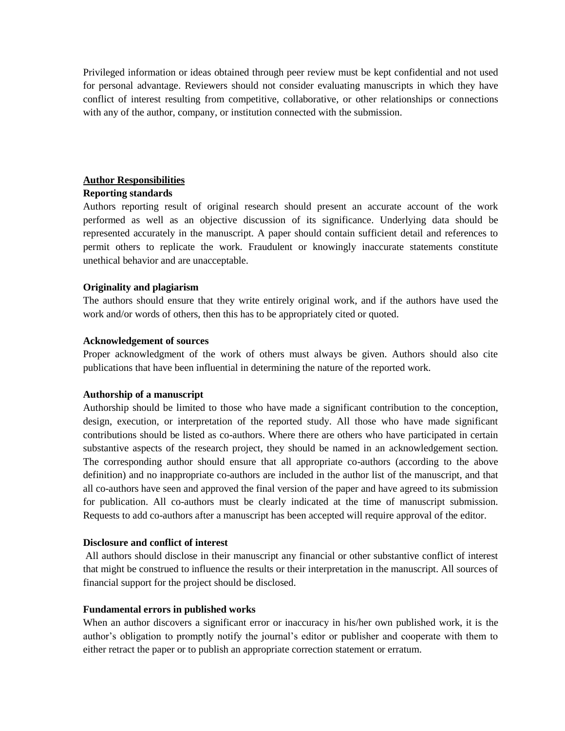Privileged information or ideas obtained through peer review must be kept confidential and not used for personal advantage. Reviewers should not consider evaluating manuscripts in which they have conflict of interest resulting from competitive, collaborative, or other relationships or connections with any of the author, company, or institution connected with the submission.

# **Author Responsibilities**

#### **Reporting standards**

Authors reporting result of original research should present an accurate account of the work performed as well as an objective discussion of its significance. Underlying data should be represented accurately in the manuscript. A paper should contain sufficient detail and references to permit others to replicate the work. Fraudulent or knowingly inaccurate statements constitute unethical behavior and are unacceptable.

# **Originality and plagiarism**

The authors should ensure that they write entirely original work, and if the authors have used the work and/or words of others, then this has to be appropriately cited or quoted.

# **Acknowledgement of sources**

Proper acknowledgment of the work of others must always be given. Authors should also cite publications that have been influential in determining the nature of the reported work.

# **Authorship of a manuscript**

Authorship should be limited to those who have made a significant contribution to the conception, design, execution, or interpretation of the reported study. All those who have made significant contributions should be listed as co-authors. Where there are others who have participated in certain substantive aspects of the research project, they should be named in an acknowledgement section. The corresponding author should ensure that all appropriate co-authors (according to the above definition) and no inappropriate co-authors are included in the author list of the manuscript, and that all co-authors have seen and approved the final version of the paper and have agreed to its submission for publication. All co-authors must be clearly indicated at the time of manuscript submission. Requests to add co-authors after a manuscript has been accepted will require approval of the editor.

# **Disclosure and conflict of interest**

All authors should disclose in their manuscript any financial or other substantive conflict of interest that might be construed to influence the results or their interpretation in the manuscript. All sources of financial support for the project should be disclosed.

# **Fundamental errors in published works**

When an author discovers a significant error or inaccuracy in his/her own published work, it is the author's obligation to promptly notify the journal's editor or publisher and cooperate with them to either retract the paper or to publish an appropriate correction statement or erratum.